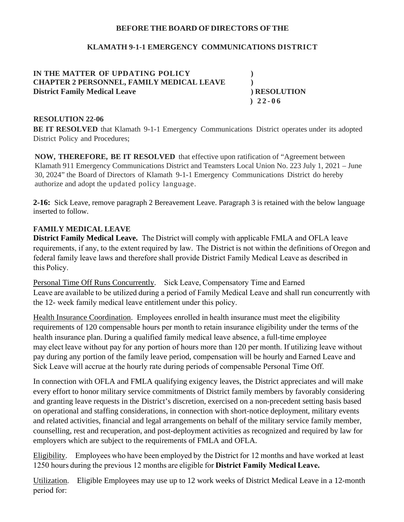## **BEFORE THEBOARD OFDIRECTORS OFTHE**

## **KLAMATH 9-1-1 EMERGENCY COMMUNICATIONS DISTRICT**

**IN THE MATTER OF UPDATING POLICY ) CHAPTER 2 PERSONNEL, FAMILY MEDICAL LEAVE ) District Family Medical Leave ) RESOLUTION**

 **) 2 2 - 0 6**

#### **RESOLUTION 22-06**

**BE IT RESOLVED** that Klamath 9-1-1 Emergency Communications District operates under its adopted District Policy and Procedures;

**NOW, THEREFORE, BE IT RESOLVED** that effective upon ratification of "Agreement between Klamath 911 Emergency Communications District and Teamsters Local Union No. 223 July 1, 2021 – June 30, 2024" the Board of Directors of Klamath 9-1-1 Emergency Communications District do hereby authorize and adopt the updated policy language.

**2-16:** Sick Leave, remove paragraph 2 Bereavement Leave. Paragraph 3 is retained with the below language inserted to follow.

# **FAMILY MEDICAL LEAVE**

**District Family Medical Leave.** The District will comply with applicable FMLA and OFLA leave requirements, if any, to the extent required by law.  The District is not within the definitions of Oregon and federal family leave laws and therefore shall provide District Family Medical Leave as described in this Policy.

Personal Time Off Runs Concurrently. Sick Leave, Compensatory Time and Earned Leave are available to be utilized during a period of Family Medical Leave and shall run concurrently with the 12- week family medical leave entitlement under this policy. 

Health Insurance Coordination. Employees enrolled in health insurance must meet the eligibility requirements of 120 compensable hours per month to retain insurance eligibility under the terms of the health insurance plan. During a qualified family medical leave absence, a full-time employee may elect leave without pay for any portion of hours more than 120 per month. If utilizing leave without pay during any portion of the family leave period, compensation will be hourly and Earned Leave and Sick Leave will accrue at the hourly rate during periods of compensable Personal Time Off.  

In connection with OFLA and FMLA qualifying exigency leaves, the District appreciates and will make every effort to honor military service commitments of District family members by favorably considering and granting leave requests in the District's discretion, exercised on a non-precedent setting basis based on operational and staffing considerations, in connection with short-notice deployment, military events and related activities, financial and legal arrangements on behalf of the military service family member, counselling, rest and recuperation, and post-deployment activities as recognized and required by law for employers which are subject to the requirements of FMLA and OFLA.

Eligibility. Employees who have been employed by the District for 12 months and have worked at least 1250 hours during the previous 12 months are eligible for **District Family Medical Leave.**

Utilization. Eligible Employees may use up to 12 work weeks of District Medical Leave in a 12-month period for: